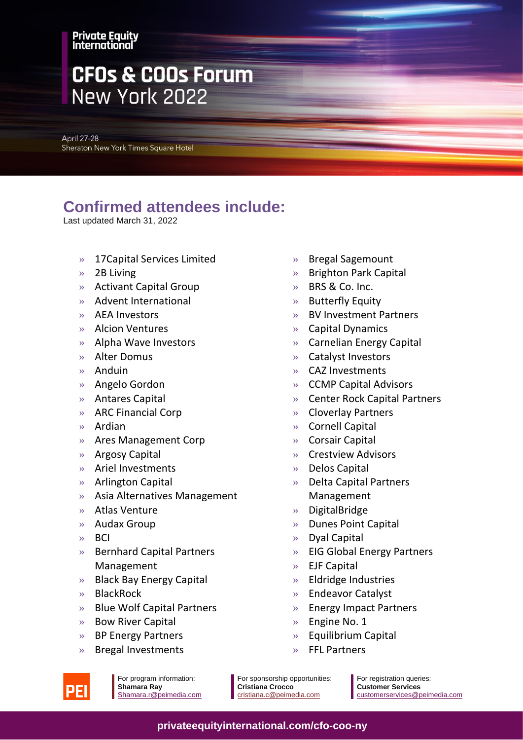#### **Private Equity** International

# **CFOs & COOs Forum** New York 2022

**April 27-28** Sheraton New York Times Square Hotel

### **Confirmed attendees include:**

Last updated March 31, 2022

- » 17Capital Services Limited
- » 2B Living
- » Activant Capital Group
- » Advent International
- » AEA Investors
- » Alcion Ventures
- » Alpha Wave Investors
- » Alter Domus
- » Anduin
- » Angelo Gordon
- » Antares Capital
- » ARC Financial Corp
- » Ardian
- » Ares Management Corp
- » Argosy Capital
- » Ariel Investments
- » Arlington Capital
- » Asia Alternatives Management
- » Atlas Venture
- » Audax Group
- » BCI
- » Bernhard Capital Partners Management
- » Black Bay Energy Capital
- » BlackRock
- » Blue Wolf Capital Partners
- » Bow River Capital
- » BP Energy Partners
- » Bregal Investments
- » Bregal Sagemount
- » Brighton Park Capital
- » BRS & Co. Inc.
- » Butterfly Equity
- » BV Investment Partners
- » Capital Dynamics
- » Carnelian Energy Capital
- » Catalyst Investors
- » CAZ Investments
- » CCMP Capital Advisors
- » Center Rock Capital Partners
- » Cloverlay Partners
- » Cornell Capital
- » Corsair Capital
- » Crestview Advisors
- » Delos Capital
- » Delta Capital Partners Management
- » DigitalBridge
- » Dunes Point Capital
- » Dyal Capital
- » EIG Global Energy Partners
- » EJF Capital
- » Eldridge Industries
- » Endeavor Catalyst
- » Energy Impact Partners
- » Engine No. 1
- » Equilibrium Capital
- » FFL Partners



For program information: **Shamara Ray** Shamara.r@peimedia.com For sponsorship opportunities: **Cristiana Crocco** [cristiana.c@peimedia.com](mailto:cristiana.c@peimedia.com)

For registration queries: **Customer Services** [customerservices@peimedia.com](mailto:customerservice@peimedia.com)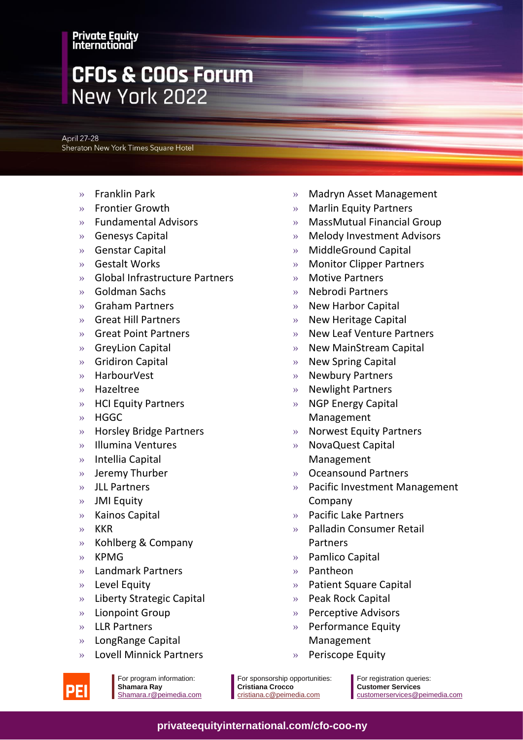#### **Private Equity** International

# **CFOs & COOs Forum** New York 2022

**April 27-28** Sheraton New York Times Square Hotel

- » Franklin Park
- » Frontier Growth
- » Fundamental Advisors
- » Genesys Capital
- » Genstar Capital
- » Gestalt Works
- » Global Infrastructure Partners
- » Goldman Sachs
- » Graham Partners
- » Great Hill Partners
- » Great Point Partners
- » GreyLion Capital
- » Gridiron Capital
- » HarbourVest
- » Hazeltree
- » HCI Equity Partners
- » HGGC
- » Horsley Bridge Partners
- » Illumina Ventures
- » Intellia Capital
- » Jeremy Thurber
- » JLL Partners
- » JMI Equity
- » Kainos Capital
- » KKR
- » Kohlberg & Company
- » KPMG
- » Landmark Partners
- » Level Equity
- » Liberty Strategic Capital
- » Lionpoint Group
- » LLR Partners
- » LongRange Capital
- » Lovell Minnick Partners
- » Madryn Asset Management
- » Marlin Equity Partners
- » MassMutual Financial Group
- » Melody Investment Advisors
- » MiddleGround Capital
- » Monitor Clipper Partners
- » Motive Partners
- » Nebrodi Partners
- » New Harbor Capital
- » New Heritage Capital
- » New Leaf Venture Partners
- » New MainStream Capital
- » New Spring Capital
- » Newbury Partners
- » Newlight Partners
- » NGP Energy Capital Management
- » Norwest Equity Partners
- » NovaQuest Capital Management
- » Oceansound Partners
- » Pacific Investment Management Company
- » Pacific Lake Partners
- » Palladin Consumer Retail Partners
- » Pamlico Capital
- » Pantheon
- » Patient Square Capital
- » Peak Rock Capital
- » Perceptive Advisors
- » Performance Equity Management
- » Periscope Equity

For program information: **Shamara Ray** Shamara.r@peimedia.com For sponsorship opportunities: **Cristiana Crocco** [cristiana.c@peimedia.com](mailto:cristiana.c@peimedia.com)

For registration queries: **Customer Services** [customerservices@peimedia.com](mailto:customerservice@peimedia.com)